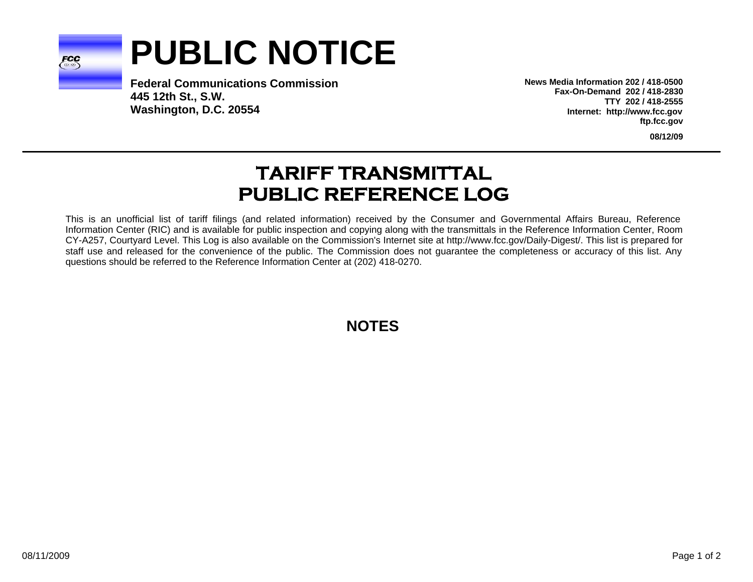

## **PUBLIC NOTICE**

**Federal Communications Commission445 12th St., S.W. Washington, D.C. 20554**

**News Media Information 202 / 418-0500Fax-On-Demand 202 / 418-2830TTY 202 / 418-2555Internet: http://www.fcc.gov ftp.fcc.gov**

**08/12/09**

## **TARIFF TRANSMITTAL PUBLIC REFERENCE LOG**

This is an unofficial list of tariff filings (and related information) received by the Consumer and Governmental Affairs Bureau, Reference Information Center (RIC) and is available for public inspection and copying along with the transmittals in the Reference Information Center, Room CY-A257, Courtyard Level. This Log is also available on the Commission's Internet site at http://www.fcc.gov/Daily-Digest/. This list is prepared for staff use and released for the convenience of the public. The Commission does not guarantee the completeness or accuracy of this list. Any questions should be referred to the Reference Information Center at (202) 418-0270.

**NOTES**